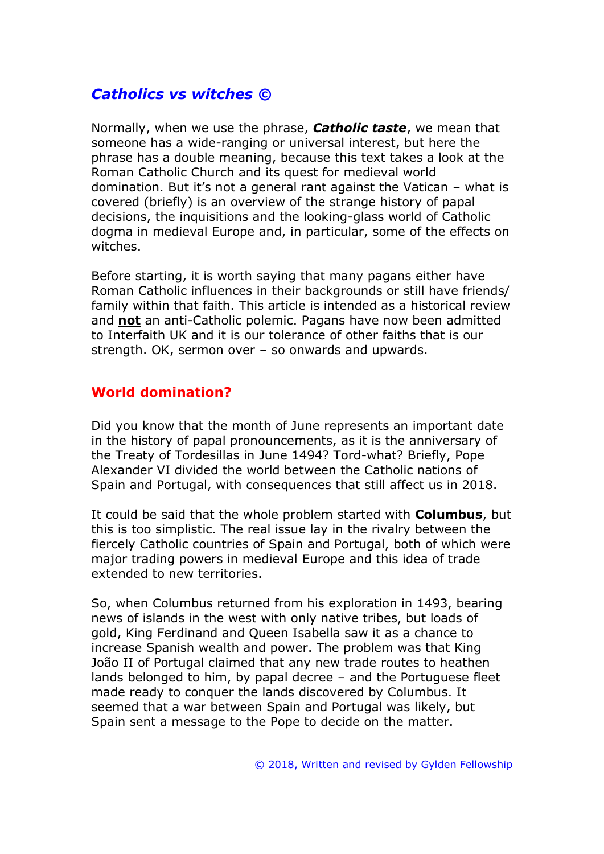# *Catholics vs witches ©*

Normally, when we use the phrase, *Catholic taste*, we mean that someone has a wide-ranging or universal interest, but here the phrase has a double meaning, because this text takes a look at the Roman Catholic Church and its quest for medieval world domination. But it's not a general rant against the Vatican – what is covered (briefly) is an overview of the strange history of papal decisions, the inquisitions and the looking-glass world of Catholic dogma in medieval Europe and, in particular, some of the effects on witches.

Before starting, it is worth saying that many pagans either have Roman Catholic influences in their backgrounds or still have friends/ family within that faith. This article is intended as a historical review and **not** an anti-Catholic polemic. Pagans have now been admitted to Interfaith UK and it is our tolerance of other faiths that is our strength. OK, sermon over – so onwards and upwards.

### **World domination?**

Did you know that the month of June represents an important date in the history of papal pronouncements, as it is the anniversary of the Treaty of Tordesillas in June 1494? Tord-what? Briefly, Pope Alexander VI divided the world between the Catholic nations of Spain and Portugal, with consequences that still affect us in 2018.

It could be said that the whole problem started with **Columbus**, but this is too simplistic. The real issue lay in the rivalry between the fiercely Catholic countries of Spain and Portugal, both of which were major trading powers in medieval Europe and this idea of trade extended to new territories.

So, when Columbus returned from his exploration in 1493, bearing news of islands in the west with only native tribes, but loads of gold, King Ferdinand and Queen Isabella saw it as a chance to increase Spanish wealth and power. The problem was that King João II of Portugal claimed that any new trade routes to heathen lands belonged to him, by papal decree – and the Portuguese fleet made ready to conquer the lands discovered by Columbus. It seemed that a war between Spain and Portugal was likely, but Spain sent a message to the Pope to decide on the matter.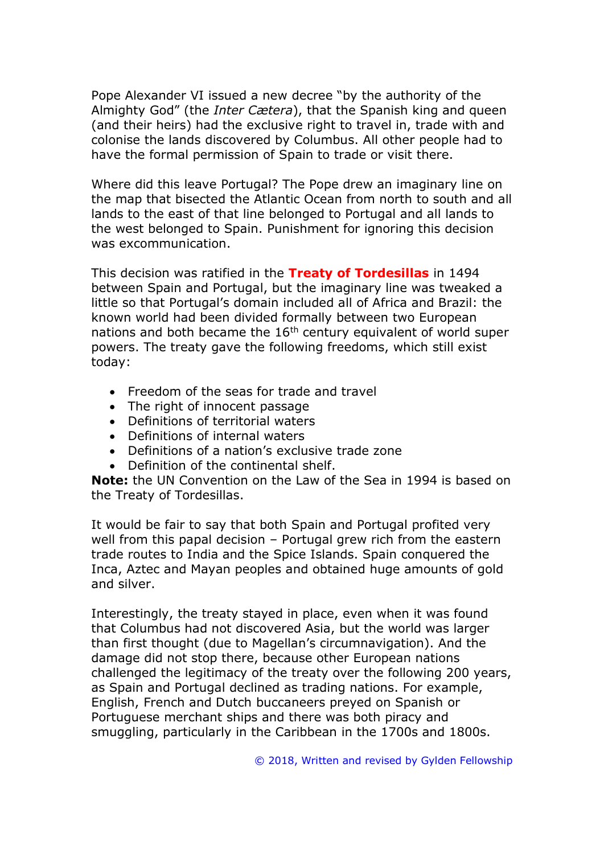Pope Alexander VI issued a new decree "by the authority of the Almighty God" (the *Inter Cætera*), that the Spanish king and queen (and their heirs) had the exclusive right to travel in, trade with and colonise the lands discovered by Columbus. All other people had to have the formal permission of Spain to trade or visit there.

Where did this leave Portugal? The Pope drew an imaginary line on the map that bisected the Atlantic Ocean from north to south and all lands to the east of that line belonged to Portugal and all lands to the west belonged to Spain. Punishment for ignoring this decision was excommunication.

This decision was ratified in the **Treaty of Tordesillas** in 1494 between Spain and Portugal, but the imaginary line was tweaked a little so that Portugal's domain included all of Africa and Brazil: the known world had been divided formally between two European nations and both became the  $16<sup>th</sup>$  century equivalent of world super powers. The treaty gave the following freedoms, which still exist today:

- Freedom of the seas for trade and travel
- The right of innocent passage
- Definitions of territorial waters
- Definitions of internal waters
- Definitions of a nation's exclusive trade zone
- Definition of the continental shelf.

**Note:** the UN Convention on the Law of the Sea in 1994 is based on the Treaty of Tordesillas.

It would be fair to say that both Spain and Portugal profited very well from this papal decision – Portugal grew rich from the eastern trade routes to India and the Spice Islands. Spain conquered the Inca, Aztec and Mayan peoples and obtained huge amounts of gold and silver.

Interestingly, the treaty stayed in place, even when it was found that Columbus had not discovered Asia, but the world was larger than first thought (due to Magellan's circumnavigation). And the damage did not stop there, because other European nations challenged the legitimacy of the treaty over the following 200 years, as Spain and Portugal declined as trading nations. For example, English, French and Dutch buccaneers preyed on Spanish or Portuguese merchant ships and there was both piracy and smuggling, particularly in the Caribbean in the 1700s and 1800s.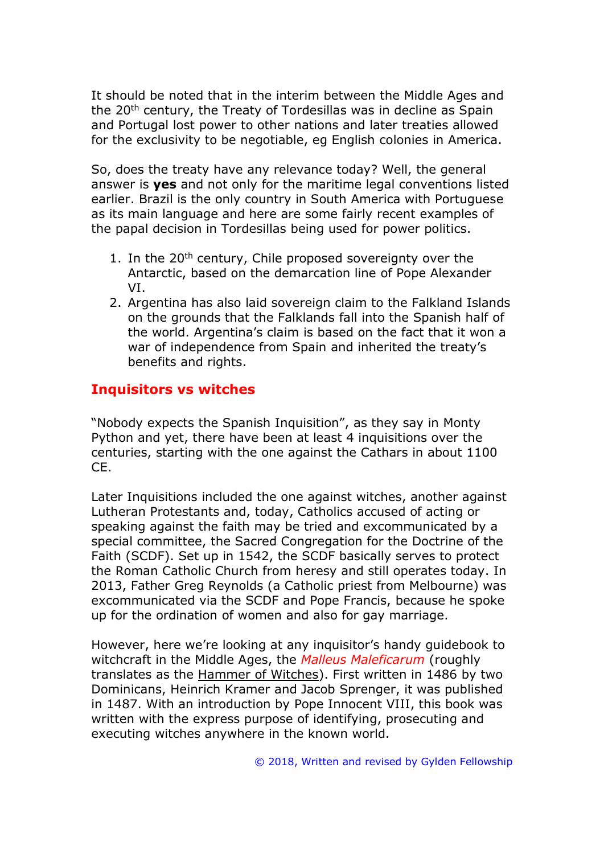It should be noted that in the interim between the Middle Ages and the 20<sup>th</sup> century, the Treaty of Tordesillas was in decline as Spain and Portugal lost power to other nations and later treaties allowed for the exclusivity to be negotiable, eg English colonies in America.

So, does the treaty have any relevance today? Well, the general answer is **yes** and not only for the maritime legal conventions listed earlier. Brazil is the only country in South America with Portuguese as its main language and here are some fairly recent examples of the papal decision in Tordesillas being used for power politics.

- 1. In the 20<sup>th</sup> century, Chile proposed sovereignty over the Antarctic, based on the demarcation line of Pope Alexander VI.
- 2. Argentina has also laid sovereign claim to the Falkland Islands on the grounds that the Falklands fall into the Spanish half of the world. Argentina's claim is based on the fact that it won a war of independence from Spain and inherited the treaty's benefits and rights.

## **Inquisitors vs witches**

"Nobody expects the Spanish Inquisition", as they say in Monty Python and yet, there have been at least 4 inquisitions over the centuries, starting with the one against the Cathars in about 1100 CE.

Later Inquisitions included the one against witches, another against Lutheran Protestants and, today, Catholics accused of acting or speaking against the faith may be tried and excommunicated by a special committee, the Sacred Congregation for the Doctrine of the Faith (SCDF). Set up in 1542, the SCDF basically serves to protect the Roman Catholic Church from heresy and still operates today. In 2013, Father Greg Reynolds (a Catholic priest from Melbourne) was excommunicated via the SCDF and Pope Francis, because he spoke up for the ordination of women and also for gay marriage.

However, here we're looking at any inquisitor's handy guidebook to witchcraft in the Middle Ages, the *Malleus Maleficarum* (roughly translates as the Hammer of Witches). First written in 1486 by two Dominicans, Heinrich Kramer and Jacob Sprenger, it was published in 1487. With an introduction by Pope Innocent VIII, this book was written with the express purpose of identifying, prosecuting and executing witches anywhere in the known world.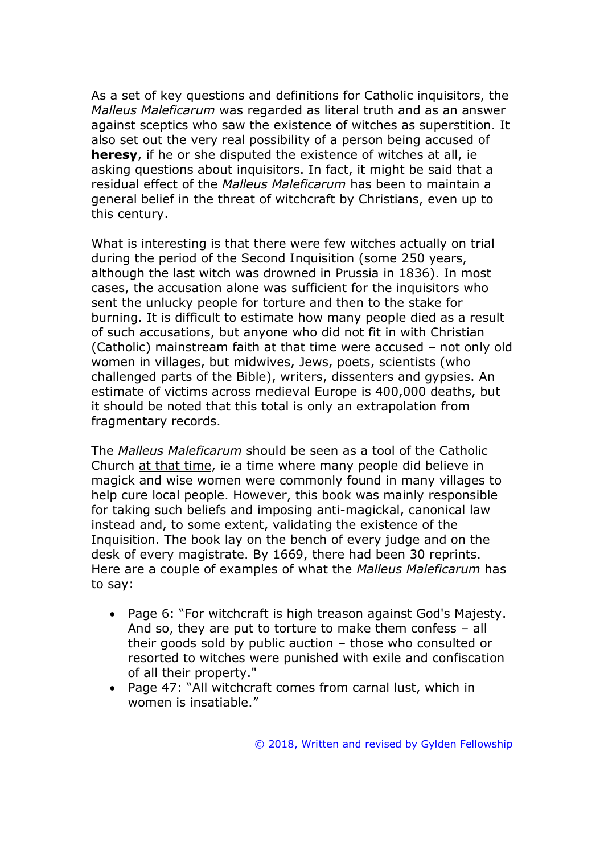As a set of key questions and definitions for Catholic inquisitors, the *Malleus Maleficarum* was regarded as literal truth and as an answer against sceptics who saw the existence of witches as superstition. It also set out the very real possibility of a person being accused of **heresy**, if he or she disputed the existence of witches at all, ie asking questions about inquisitors. In fact, it might be said that a residual effect of the *Malleus Maleficarum* has been to maintain a general belief in the threat of witchcraft by Christians, even up to this century.

What is interesting is that there were few witches actually on trial during the period of the Second Inquisition (some 250 years, although the last witch was drowned in Prussia in 1836). In most cases, the accusation alone was sufficient for the inquisitors who sent the unlucky people for torture and then to the stake for burning. It is difficult to estimate how many people died as a result of such accusations, but anyone who did not fit in with Christian (Catholic) mainstream faith at that time were accused – not only old women in villages, but midwives, Jews, poets, scientists (who challenged parts of the Bible), writers, dissenters and gypsies. An estimate of victims across medieval Europe is 400,000 deaths, but it should be noted that this total is only an extrapolation from fragmentary records.

The *Malleus Maleficarum* should be seen as a tool of the Catholic Church at that time, ie a time where many people did believe in magick and wise women were commonly found in many villages to help cure local people. However, this book was mainly responsible for taking such beliefs and imposing anti-magickal, canonical law instead and, to some extent, validating the existence of the Inquisition. The book lay on the bench of every judge and on the desk of every magistrate. By 1669, there had been 30 reprints. Here are a couple of examples of what the *Malleus Maleficarum* has to say:

- Page 6: "For witchcraft is high treason against God's Majesty. And so, they are put to torture to make them confess – all their goods sold by public auction – those who consulted or resorted to witches were punished with exile and confiscation of all their property."
- Page 47: "All witchcraft comes from carnal lust, which in women is insatiable."

© 2018, Written and revised by Gylden Fellowship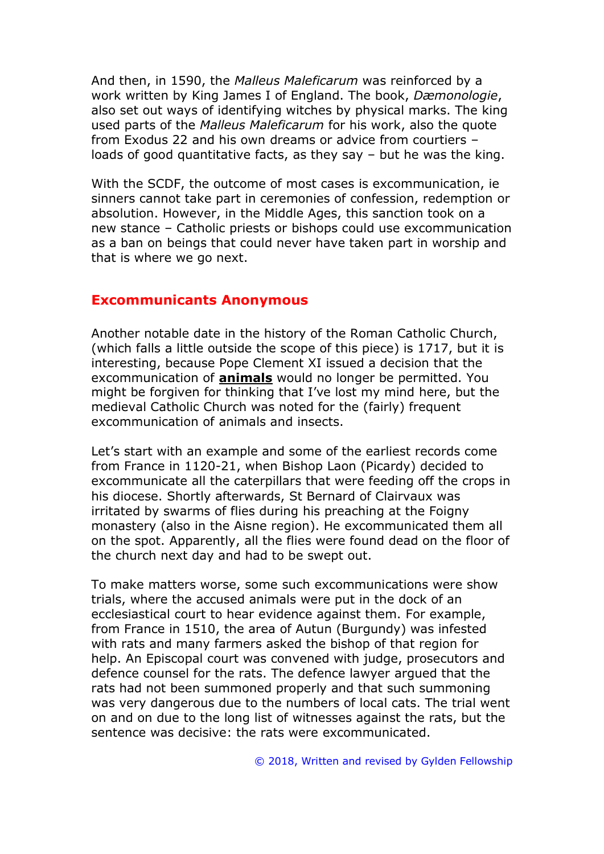And then, in 1590, the *Malleus Maleficarum* was reinforced by a work written by King James I of England. The book, *Dæmonologie*, also set out ways of identifying witches by physical marks. The king used parts of the *Malleus Maleficarum* for his work, also the quote from Exodus 22 and his own dreams or advice from courtiers – loads of good quantitative facts, as they say – but he was the king.

With the SCDF, the outcome of most cases is excommunication, ie sinners cannot take part in ceremonies of confession, redemption or absolution. However, in the Middle Ages, this sanction took on a new stance – Catholic priests or bishops could use excommunication as a ban on beings that could never have taken part in worship and that is where we go next.

#### **Excommunicants Anonymous**

Another notable date in the history of the Roman Catholic Church, (which falls a little outside the scope of this piece) is 1717, but it is interesting, because Pope Clement XI issued a decision that the excommunication of **animals** would no longer be permitted. You might be forgiven for thinking that I've lost my mind here, but the medieval Catholic Church was noted for the (fairly) frequent excommunication of animals and insects.

Let's start with an example and some of the earliest records come from France in 1120-21, when Bishop Laon (Picardy) decided to excommunicate all the caterpillars that were feeding off the crops in his diocese. Shortly afterwards, St Bernard of Clairvaux was irritated by swarms of flies during his preaching at the Foigny monastery (also in the Aisne region). He excommunicated them all on the spot. Apparently, all the flies were found dead on the floor of the church next day and had to be swept out.

To make matters worse, some such excommunications were show trials, where the accused animals were put in the dock of an ecclesiastical court to hear evidence against them. For example, from France in 1510, the area of Autun (Burgundy) was infested with rats and many farmers asked the bishop of that region for help. An Episcopal court was convened with judge, prosecutors and defence counsel for the rats. The defence lawyer argued that the rats had not been summoned properly and that such summoning was very dangerous due to the numbers of local cats. The trial went on and on due to the long list of witnesses against the rats, but the sentence was decisive: the rats were excommunicated.